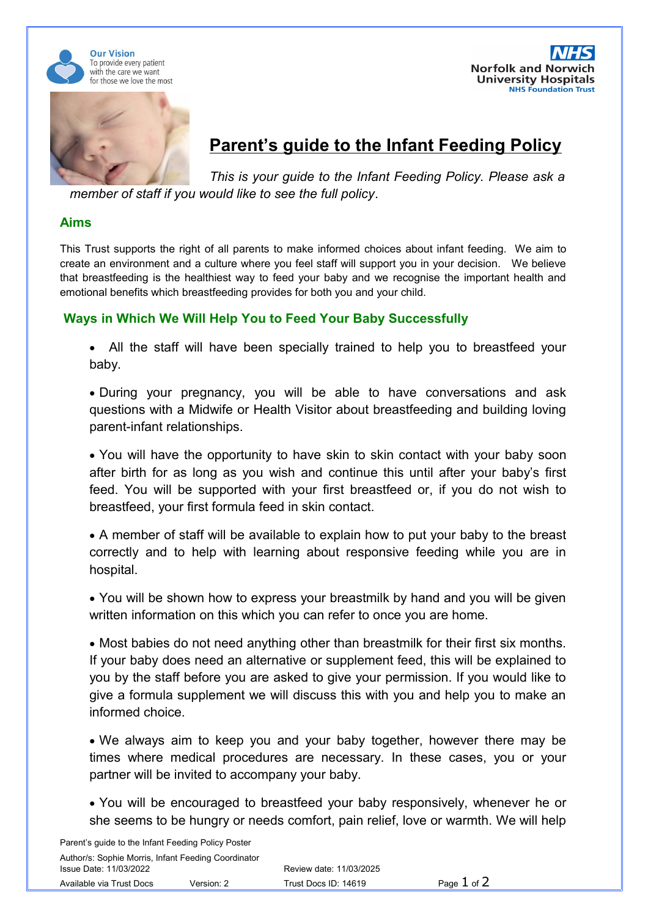





## **Parent's guide to the Infant Feeding Policy**

*This is your guide to the Infant Feeding Policy. Please ask a member of staff if you would like to see the full policy*.

## **Aims**

This Trust supports the right of all parents to make informed choices about infant feeding. We aim to create an environment and a culture where you feel staff will support you in your decision. We believe that breastfeeding is the healthiest way to feed your baby and we recognise the important health and emotional benefits which breastfeeding provides for both you and your child.

## **Ways in Which We Will Help You to Feed Your Baby Successfully**

 All the staff will have been specially trained to help you to breastfeed your baby.

 During your pregnancy, you will be able to have conversations and ask questions with a Midwife or Health Visitor about breastfeeding and building loving parent-infant relationships.

 You will have the opportunity to have skin to skin contact with your baby soon after birth for as long as you wish and continue this until after your baby's first feed. You will be supported with your first breastfeed or, if you do not wish to breastfeed, your first formula feed in skin contact.

 A member of staff will be available to explain how to put your baby to the breast correctly and to help with learning about responsive feeding while you are in hospital.

 You will be shown how to express your breastmilk by hand and you will be given written information on this which you can refer to once you are home.

 Most babies do not need anything other than breastmilk for their first six months. If your baby does need an alternative or supplement feed, this will be explained to you by the staff before you are asked to give your permission. If you would like to give a formula supplement we will discuss this with you and help you to make an informed choice.

 We always aim to keep you and your baby together, however there may be times where medical procedures are necessary. In these cases, you or your partner will be invited to accompany your baby.

 You will be encouraged to breastfeed your baby responsively, whenever he or she seems to be hungry or needs comfort, pain relief, love or warmth. We will help

Parent's guide to the Infant Feeding Policy Poster Author/s: Sophie Morris, Infant Feeding Coordinator Issue Date: 11/03/2022 Review date: 11/03/2025 Available via Trust Docs Version: 2 **Trust Docs ID: 14619 Page 1 of 2**